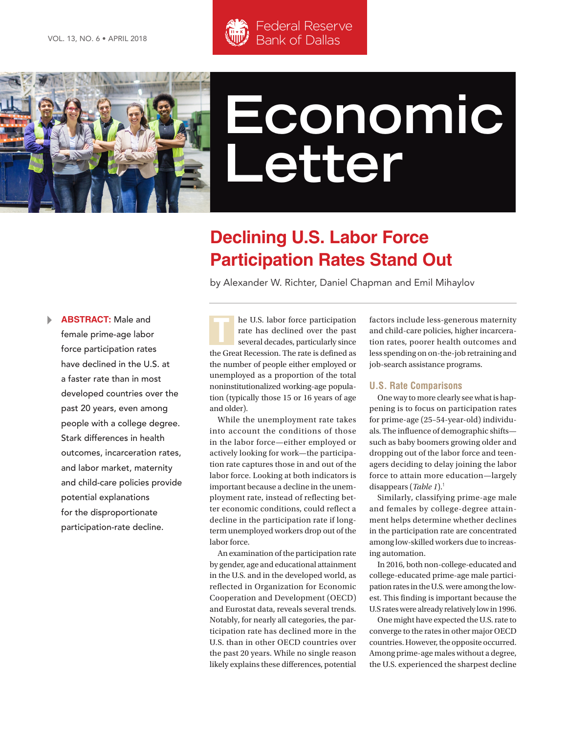



# **Economic Letter**

## **Declining U.S. Labor Force Participation Rates Stand Out**

by Alexander W. Richter, Daniel Chapman and Emil Mihaylov

**ABSTRACT:** Male and<br>female prime-age labor<br>ferse nestigination rates **ABSTRACT:** Male and female prime-age labor force participation rates have declined in the U.S. at a faster rate than in most developed countries over the past 20 years, even among people with a college degree. Stark differences in health outcomes, incarceration rates, and labor market, maternity and child-care policies provide potential explanations for the disproportionate participation-rate decline.

he U.S. labor force participation rate has declined over the past several decades, particularly since the Great Recession. The rate is defined as the number of people either employed or unemployed as a proportion of the total noninstitutionalized working-age population (typically those 15 or 16 years of age and older).

While the unemployment rate takes into account the conditions of those in the labor force—either employed or actively looking for work—the participation rate captures those in and out of the labor force. Looking at both indicators is important because a decline in the unemployment rate, instead of reflecting better economic conditions, could reflect a decline in the participation rate if longterm unemployed workers drop out of the labor force.

An examination of the participation rate by gender, age and educational attainment in the U.S. and in the developed world, as reflected in Organization for Economic Cooperation and Development (OECD) and Eurostat data, reveals several trends. Notably, for nearly all categories, the participation rate has declined more in the U.S. than in other OECD countries over the past 20 years. While no single reason likely explains these differences, potential

factors include less-generous maternity and child-care policies, higher incarceration rates, poorer health outcomes and less spending on on-the-job retraining and job-search assistance programs.

#### **U.S. Rate Comparisons**

One way to more clearly see what is happening is to focus on participation rates for prime-age (25–54-year-old) individuals. The influence of demographic shifts such as baby boomers growing older and dropping out of the labor force and teenagers deciding to delay joining the labor force to attain more education—largely disappears (*Table 1*).<sup>1</sup>

Similarly, classifying prime-age male and females by college-degree attainment helps determine whether declines in the participation rate are concentrated among low-skilled workers due to increasing automation.

In 2016, both non-college-educated and college-educated prime-age male participation rates in the U.S. were among the lowest. This finding is important because the U.S rates were already relatively low in 1996.

One might have expected the U.S. rate to converge to the rates in other major OECD countries. However, the opposite occurred. Among prime-age males without a degree, the U.S. experienced the sharpest decline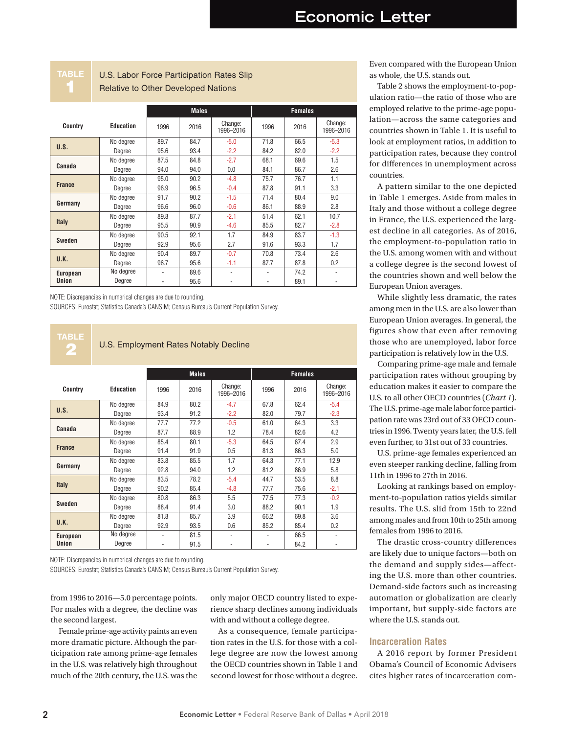**TABLE** 1

#### U.S. Labor Force Participation Rates Slip Relative to Other Developed Nations

|                                 |           | <b>Males</b> |      |                      | <b>Females</b> |      |                      |
|---------------------------------|-----------|--------------|------|----------------------|----------------|------|----------------------|
| Country                         | Education | 1996         | 2016 | Change:<br>1996-2016 | 1996           | 2016 | Change:<br>1996-2016 |
| U.S.                            | No degree | 89.7         | 84.7 | $-5.0$               | 71.8           | 66.5 | $-5.3$               |
|                                 | Degree    | 95.6         | 93.4 | $-2.2$               | 84.2           | 82.0 | $-2.2$               |
| Canada                          | No degree | 87.5         | 84.8 | $-2.7$               | 68.1           | 69.6 | 1.5                  |
|                                 | Degree    | 94.0         | 94.0 | 0.0                  | 84.1           | 86.7 | 2.6                  |
| <b>France</b>                   | No degree | 95.0         | 90.2 | $-4.8$               | 75.7           | 76.7 | 1.1                  |
|                                 | Degree    | 96.9         | 96.5 | $-0.4$               | 87.8           | 91.1 | 3.3                  |
| Germany                         | No degree | 91.7         | 90.2 | $-1.5$               | 71.4           | 80.4 | 9.0                  |
|                                 | Degree    | 96.6         | 96.0 | $-0.6$               | 86.1           | 88.9 | 2.8                  |
| <b>Italy</b>                    | No degree | 89.8         | 87.7 | $-2.1$               | 51.4           | 62.1 | 10.7                 |
|                                 | Degree    | 95.5         | 90.9 | $-4.6$               | 85.5           | 82.7 | $-2.8$               |
| <b>Sweden</b>                   | No degree | 90.5         | 92.1 | 1.7                  | 84.9           | 83.7 | $-1.3$               |
|                                 | Degree    | 92.9         | 95.6 | 2.7                  | 91.6           | 93.3 | 1.7                  |
| U.K.                            | No degree | 90.4         | 89.7 | $-0.7$               | 70.8           | 73.4 | 2.6                  |
|                                 | Degree    | 96.7         | 95.6 | $-1.1$               | 87.7           | 87.8 | 0.2                  |
| <b>European</b><br><b>Union</b> | No degree |              | 89.6 | ٠                    | ٠              | 74.2 | ٠                    |
|                                 | Degree    | ٠            | 95.6 | ٠                    | ٠              | 89.1 | ۰                    |

NOTE: Discrepancies in numerical changes are due to rounding.

SOURCES: Eurostat; Statistics Canada's CANSIM; Census Bureau's Current Population Survey.

**TABLE**

#### U.S. Employment Rates Notably Decline

|                          |           | <b>Males</b> |      |                      | <b>Females</b> |      |                      |  |
|--------------------------|-----------|--------------|------|----------------------|----------------|------|----------------------|--|
| Country                  | Education | 1996         | 2016 | Change:<br>1996-2016 | 1996           | 2016 | Change:<br>1996-2016 |  |
| U.S.                     | No degree | 84.9         | 80.2 | $-4.7$               | 67.8           | 62.4 | $-5.4$               |  |
|                          | Degree    | 93.4         | 91.2 | $-2.2$               | 82.0           | 79.7 | $-2.3$               |  |
| Canada                   | No degree | 77.7         | 77.2 | $-0.5$               | 61.0           | 64.3 | 3.3                  |  |
|                          | Degree    | 87.7         | 88.9 | 1.2                  | 78.4           | 82.6 | 4.2                  |  |
| <b>France</b>            | No degree | 85.4         | 80.1 | $-5.3$               | 64.5           | 67.4 | 2.9                  |  |
|                          | Degree    | 91.4         | 91.9 | 0.5                  | 81.3           | 86.3 | 5.0                  |  |
| Germany                  | No degree | 83.8         | 85.5 | 1.7                  | 64.3           | 77.1 | 12.9                 |  |
|                          | Degree    | 92.8         | 94.0 | 1.2                  | 81.2           | 86.9 | 5.8                  |  |
| <b>Italy</b>             | No degree | 83.5         | 78.2 | $-5.4$               | 44.7           | 53.5 | 8.8                  |  |
|                          | Degree    | 90.2         | 85.4 | $-4.8$               | 77.7           | 75.6 | $-2.1$               |  |
| Sweden                   | No degree | 80.8         | 86.3 | 5.5                  | 77.5           | 77.3 | $-0.2$               |  |
|                          | Degree    | 88.4         | 91.4 | 3.0                  | 88.2           | 90.1 | 1.9                  |  |
| U.K.                     | No degree | 81.8         | 85.7 | 3.9                  | 66.2           | 69.8 | 3.6                  |  |
|                          | Degree    | 92.9         | 93.5 | 0.6                  | 85.2           | 85.4 | 0.2                  |  |
| <b>European</b><br>Union | No degree |              | 81.5 | ٠                    |                | 66.5 |                      |  |
|                          | Degree    | ٠            | 91.5 |                      | ٠              | 84.2 |                      |  |

NOTE: Discrepancies in numerical changes are due to rounding.

SOURCES: Eurostat; Statistics Canada's CANSIM; Census Bureau's Current Population Survey.

from 1996 to 2016—5.0 percentage points. For males with a degree, the decline was the second largest.

Female prime-age activity paints an even more dramatic picture. Although the participation rate among prime-age females in the U.S. was relatively high throughout much of the 20th century, the U.S. was the

only major OECD country listed to experience sharp declines among individuals with and without a college degree.

As a consequence, female participation rates in the U.S. for those with a college degree are now the lowest among the OECD countries shown in Table 1 and second lowest for those without a degree. Even compared with the European Union as whole, the U.S. stands out.

Table 2 shows the employment-to-population ratio—the ratio of those who are employed relative to the prime-age population—across the same categories and countries shown in Table 1. It is useful to look at employment ratios, in addition to participation rates, because they control for differences in unemployment across countries.

A pattern similar to the one depicted in Table 1 emerges. Aside from males in Italy and those without a college degree in France, the U.S. experienced the largest decline in all categories. As of 2016, the employment-to-population ratio in the U.S. among women with and without a college degree is the second lowest of the countries shown and well below the European Union averages.

While slightly less dramatic, the rates among men in the U.S. are also lower than European Union averages. In general, the figures show that even after removing those who are unemployed, labor force participation is relatively low in the U.S.

Comparing prime-age male and female participation rates without grouping by education makes it easier to compare the U.S. to all other OECD countries (*Chart 1*). The U.S. prime-age male labor force participation rate was 23rd out of 33 OECD countries in 1996. Twenty years later, the U.S. fell even further, to 31st out of 33 countries.

U.S. prime-age females experienced an even steeper ranking decline, falling from 11th in 1996 to 27th in 2016.

Looking at rankings based on employment-to-population ratios yields similar results. The U.S. slid from 15th to 22nd among males and from 10th to 25th among females from 1996 to 2016.

The drastic cross-country differences are likely due to unique factors—both on the demand and supply sides—affecting the U.S. more than other countries. Demand-side factors such as increasing automation or globalization are clearly important, but supply-side factors are where the U.S. stands out.

#### **Incarceration Rates**

A 2016 report by former President Obama's Council of Economic Advisers cites higher rates of incarceration com-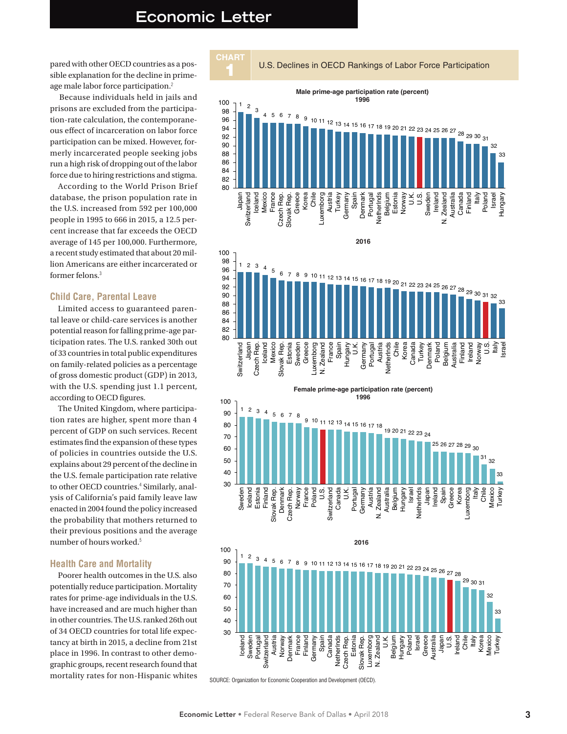### **Economic Letter**

pared with other OECD countries as a possible explanation for the decline in primeage male labor force participation.<sup>2</sup>

Because individuals held in jails and prisons are excluded from the participation-rate calculation, the contemporaneous effect of incarceration on labor force participation can be mixed. However, formerly incarcerated people seeking jobs run a high risk of dropping out of the labor force due to hiring restrictions and stigma.

According to the World Prison Brief database, the prison population rate in the U.S. increased from 592 per 100,000 people in 1995 to 666 in 2015, a 12.5 percent increase that far exceeds the OECD average of 145 per 100,000. Furthermore, a recent study estimated that about 20 million Americans are either incarcerated or former felons  $3$ 

#### **Child Care, Parental Leave**

Limited access to guaranteed parental leave or child-care services is another potential reason for falling prime-age participation rates. The U.S. ranked 30th out of 33 countries in total public expenditures on family-related policies as a percentage of gross domestic product (GDP) in 2013, with the U.S. spending just 1.1 percent, according to OECD figures.

The United Kingdom, where participation rates are higher, spent more than 4 percent of GDP on such services. Recent estimates find the expansion of these types of policies in countries outside the U.S. explains about 29 percent of the decline in the U.S. female participation rate relative to other OECD countries.<sup>4</sup> Similarly, analysis of California's paid family leave law enacted in 2004 found the policy increased the probability that mothers returned to their previous positions and the average number of hours worked.<sup>5</sup>

#### **Health Care and Mortality**

Poorer health outcomes in the U.S. also potentially reduce participation. Mortality rates for prime-age individuals in the U.S. have increased and are much higher than in other countries. The U.S. ranked 26th out of 34 OECD countries for total life expectancy at birth in 2015, a decline from 21st place in 1996. In contrast to other demographic groups, recent research found that mortality rates for non-Hispanic whites

U.S. Declines in OECD Rankings of Labor Force Participation









SOURCE: Organization for Economic Cooperation and Development (OECD).